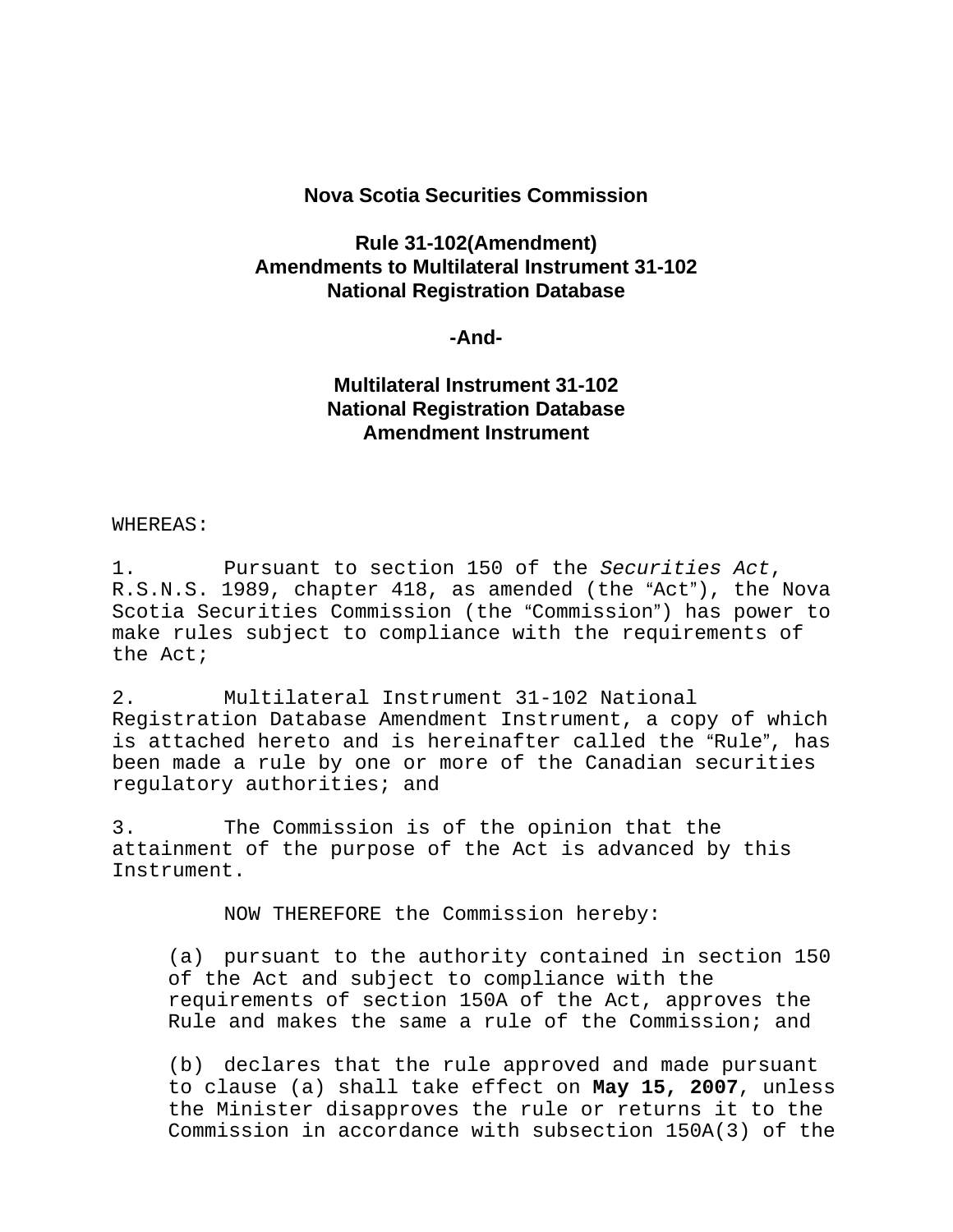## **Nova Scotia Securities Commission**

# **Rule 31-102(Amendment) Amendments to Multilateral Instrument 31-102 National Registration Database**

### **-And-**

## **Multilateral Instrument 31-102 National Registration Database Amendment Instrument**

### WHEREAS:

1. Pursuant to section 150 of the *Securities Act*, R.S.N.S. 1989, chapter 418, as amended (the "Act"), the Nova Scotia Securities Commission (the "Commission") has power to make rules subject to compliance with the requirements of the Act;

2. Multilateral Instrument 31-102 National Registration Database Amendment Instrument, a copy of which is attached hereto and is hereinafter called the "Rule", has been made a rule by one or more of the Canadian securities regulatory authorities; and

3. The Commission is of the opinion that the attainment of the purpose of the Act is advanced by this Instrument.

NOW THEREFORE the Commission hereby:

(a) pursuant to the authority contained in section 150 of the Act and subject to compliance with the requirements of section 150A of the Act, approves the Rule and makes the same a rule of the Commission; and

(b) declares that the rule approved and made pursuant to clause (a) shall take effect on **May 15, 2007**, unless the Minister disapproves the rule or returns it to the Commission in accordance with subsection 150A(3) of the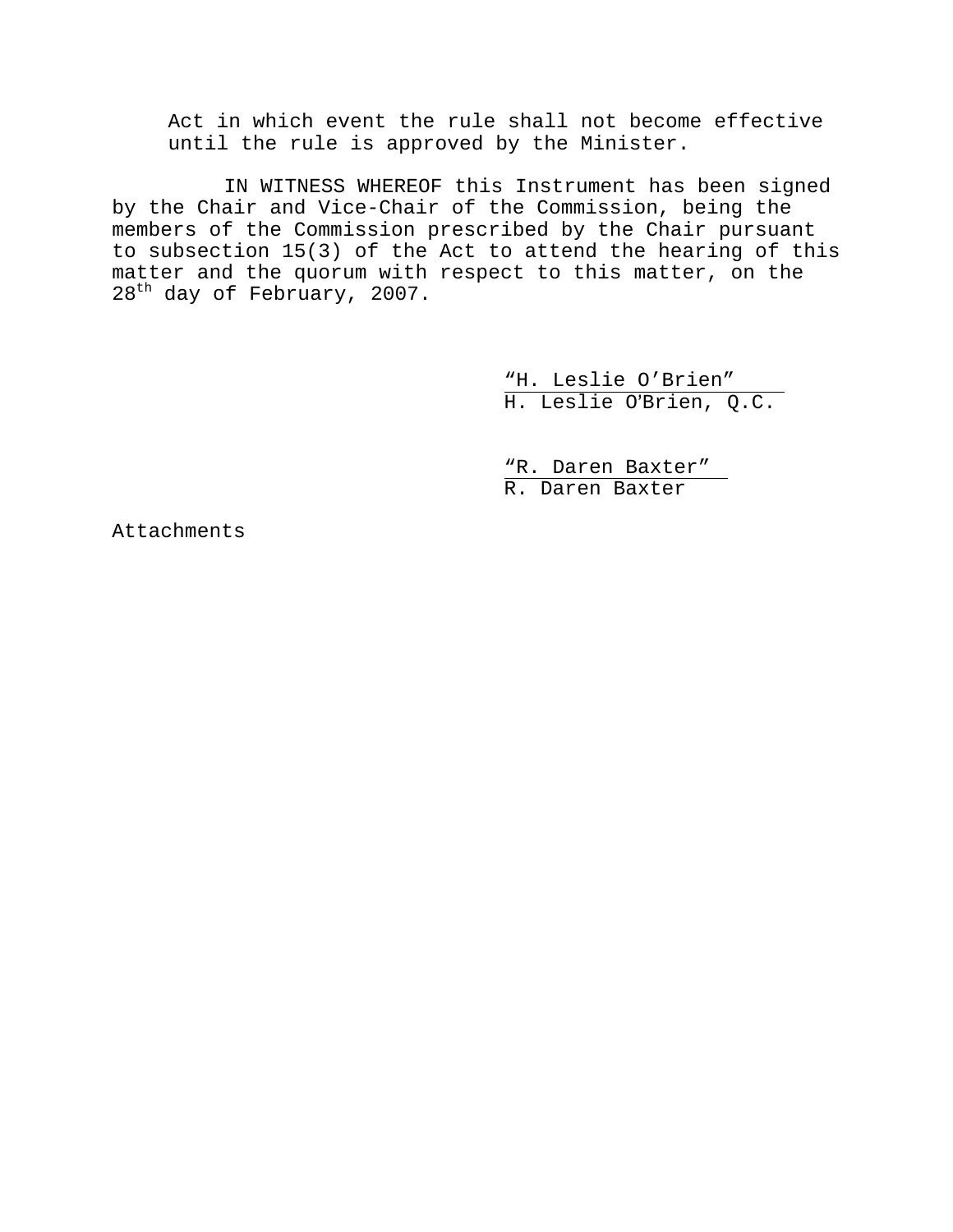Act in which event the rule shall not become effective until the rule is approved by the Minister.

IN WITNESS WHEREOF this Instrument has been signed by the Chair and Vice-Chair of the Commission, being the members of the Commission prescribed by the Chair pursuant to subsection 15(3) of the Act to attend the hearing of this matter and the quorum with respect to this matter, on the 28<sup>th</sup> day of February, 2007.

> "H. Leslie O'Brien" H. Leslie O'Brien, Q.C.

 "R. Daren Baxter" R. Daren Baxter

Attachments